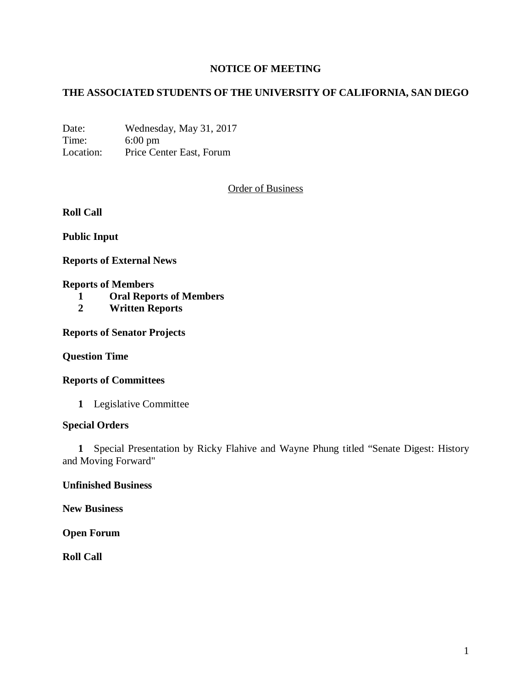# **NOTICE OF MEETING**

# **THE ASSOCIATED STUDENTS OF THE UNIVERSITY OF CALIFORNIA, SAN DIEGO**

Date: Wednesday, May 31, 2017 Time: 6:00 pm Location: Price Center East, Forum

Order of Business

**Roll Call**

**Public Input**

**Reports of External News**

### **Reports of Members**

- **1 Oral Reports of Members**
- **2 Written Reports**

**Reports of Senator Projects**

**Question Time**

**Reports of Committees**

**1** Legislative Committee

### **Special Orders**

**1** Special Presentation by Ricky Flahive and Wayne Phung titled "Senate Digest: History and Moving Forward"

**Unfinished Business**

**New Business**

**Open Forum**

**Roll Call**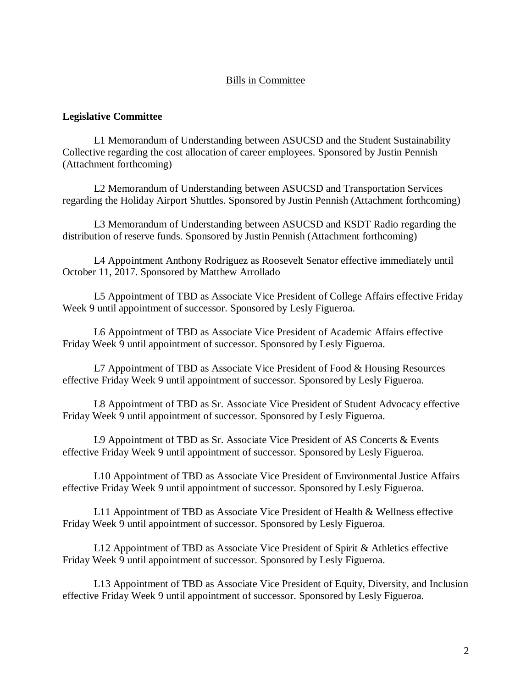### Bills in Committee

#### **Legislative Committee**

L1 Memorandum of Understanding between ASUCSD and the Student Sustainability Collective regarding the cost allocation of career employees. Sponsored by Justin Pennish (Attachment forthcoming)

L2 Memorandum of Understanding between ASUCSD and Transportation Services regarding the Holiday Airport Shuttles. Sponsored by Justin Pennish (Attachment forthcoming)

L3 Memorandum of Understanding between ASUCSD and KSDT Radio regarding the distribution of reserve funds. Sponsored by Justin Pennish (Attachment forthcoming)

L4 Appointment Anthony Rodriguez as Roosevelt Senator effective immediately until October 11, 2017. Sponsored by Matthew Arrollado

L5 Appointment of TBD as Associate Vice President of College Affairs effective Friday Week 9 until appointment of successor. Sponsored by Lesly Figueroa.

L6 Appointment of TBD as Associate Vice President of Academic Affairs effective Friday Week 9 until appointment of successor. Sponsored by Lesly Figueroa.

L7 Appointment of TBD as Associate Vice President of Food & Housing Resources effective Friday Week 9 until appointment of successor. Sponsored by Lesly Figueroa.

L8 Appointment of TBD as Sr. Associate Vice President of Student Advocacy effective Friday Week 9 until appointment of successor. Sponsored by Lesly Figueroa.

L9 Appointment of TBD as Sr. Associate Vice President of AS Concerts & Events effective Friday Week 9 until appointment of successor. Sponsored by Lesly Figueroa.

L10 Appointment of TBD as Associate Vice President of Environmental Justice Affairs effective Friday Week 9 until appointment of successor. Sponsored by Lesly Figueroa.

L11 Appointment of TBD as Associate Vice President of Health & Wellness effective Friday Week 9 until appointment of successor. Sponsored by Lesly Figueroa.

L12 Appointment of TBD as Associate Vice President of Spirit & Athletics effective Friday Week 9 until appointment of successor. Sponsored by Lesly Figueroa.

L13 Appointment of TBD as Associate Vice President of Equity, Diversity, and Inclusion effective Friday Week 9 until appointment of successor. Sponsored by Lesly Figueroa.